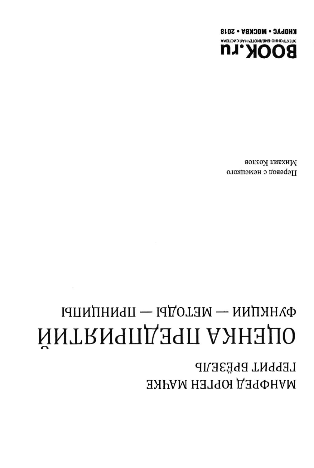## **LEPPNT BPËSEJP** МАНФРЕД ЮРГЕН МАЧКЕ

## ФЛНКПИИ — ИЕТОДЫ — ПРИНЦИПЫ МИТРИЧИ ПРЕДПРИЯТИИ

аопсох пивхиМ Перевод с немецкого

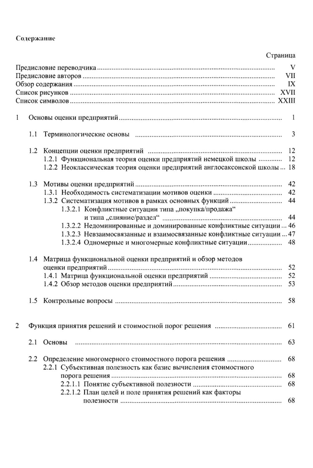## Содержание

## Страница

|                |         |                                                                                                                                                                                                     | V<br>VII<br>IX |  |
|----------------|---------|-----------------------------------------------------------------------------------------------------------------------------------------------------------------------------------------------------|----------------|--|
| 1              |         |                                                                                                                                                                                                     | -1             |  |
|                |         |                                                                                                                                                                                                     | 3              |  |
|                | 1.2     | 1.2.1 Функциональная теория оценки предприятий немецкой школы<br>1.2.2 Неоклассическая теория оценки предприятий англосаксонской школы 18                                                           | -12<br>12      |  |
|                |         | 1.3.2.1 Конфликтные ситуации типа "покупка/продажа"                                                                                                                                                 | 42<br>42<br>44 |  |
|                |         | 1.3.2.2 Недоминированные и доминированные конфликтные ситуации  46<br>1.3.2.3 Невзаимосвязанные и взаимосвязанные конфликтные ситуации  47<br>1.3.2.4 Одномерные и многомерные конфликтные ситуации | 44<br>48       |  |
|                |         | 1.4 Матрица функциональной оценки предприятий и обзор методов                                                                                                                                       | 52<br>52<br>53 |  |
|                |         |                                                                                                                                                                                                     | 58             |  |
| $\overline{c}$ | 61      |                                                                                                                                                                                                     |                |  |
|                | 2.1     | Основы                                                                                                                                                                                              | 63             |  |
|                | $2.2\,$ | 2.2.1 Субъективная полезность как базис вычисления стоимостного                                                                                                                                     | 68             |  |
|                |         | 2.2.1.2 План целей и поле принятия решений как факторы                                                                                                                                              | 68<br>68       |  |
|                |         |                                                                                                                                                                                                     | 68             |  |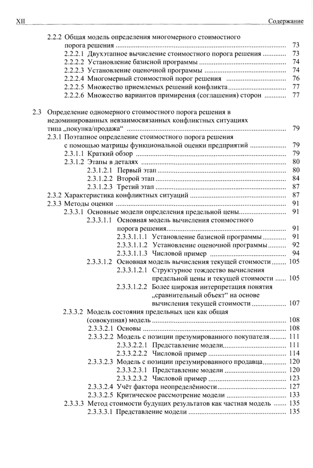|     | 2.2.2 Общая модель определения многомерного стоимостного            |    |  |  |
|-----|---------------------------------------------------------------------|----|--|--|
|     |                                                                     | 73 |  |  |
|     | 2.2.2.1 Двухэтапное вычисление стоимостного порога решения          | 73 |  |  |
|     |                                                                     | 74 |  |  |
|     |                                                                     | 74 |  |  |
|     | 2.2.2.4 Многомерный стоимостной порог решения                       | 76 |  |  |
|     |                                                                     | 77 |  |  |
|     | 2.2.2.5 Множество приемлемых решений конфликта                      |    |  |  |
|     | 2.2.2.6 Множество вариантов примирения (соглашения) сторон          | 77 |  |  |
| 2.3 | Определение одномерного стоимостного порога решения в               |    |  |  |
|     | недоминированных невзаимосвязанных конфликтных ситуациях            |    |  |  |
|     |                                                                     | 79 |  |  |
|     | 2.3.1 Поэтапное определение стоимостного порога решения             |    |  |  |
|     | с помощью матрицы функциональной оценки предприятий                 | 79 |  |  |
|     |                                                                     | 79 |  |  |
|     |                                                                     | 80 |  |  |
|     |                                                                     | 80 |  |  |
|     |                                                                     | 84 |  |  |
|     |                                                                     | 87 |  |  |
|     |                                                                     |    |  |  |
|     |                                                                     | 87 |  |  |
|     |                                                                     | 91 |  |  |
|     | 2.3.3.1 Основные модели определения предельной цены                 | 91 |  |  |
|     | 2.3.3.1.1 Основная модель вычисления стоимостного                   |    |  |  |
|     |                                                                     | 91 |  |  |
|     | 2.3.3.1.1.1 Установление базисной программы                         | 91 |  |  |
|     | 2.3.3.1.1.2 Установление оценочной программы                        | 92 |  |  |
|     |                                                                     | 94 |  |  |
|     | 2.3.3.1.2 Основная модель вычисления текущей стоимости 105          |    |  |  |
|     | 2.3.3.1.2.1 Структурное тождество вычисления                        |    |  |  |
|     | предельной цены и текущей стоимости  105                            |    |  |  |
|     | 2.3.3.1.2.2 Более широкая интерпретация понятия                     |    |  |  |
|     | "сравнительный объект" на основе                                    |    |  |  |
|     | вычисления текущей стоимости  107                                   |    |  |  |
|     | 2.3.3.2 Модель состояния предельных цен как общая                   |    |  |  |
|     |                                                                     |    |  |  |
|     |                                                                     |    |  |  |
|     | 2.3.3.2.2 Модель с позиции презумированного покупателя 111          |    |  |  |
|     |                                                                     |    |  |  |
|     |                                                                     |    |  |  |
|     |                                                                     |    |  |  |
|     | 2.3.3.2.3 Модель с позиции презумированного продавца 120            |    |  |  |
|     |                                                                     |    |  |  |
|     |                                                                     |    |  |  |
|     |                                                                     |    |  |  |
|     |                                                                     |    |  |  |
|     | 2.3.3.3 Метод стоимости будущих результатов как частная модель  135 |    |  |  |
|     |                                                                     |    |  |  |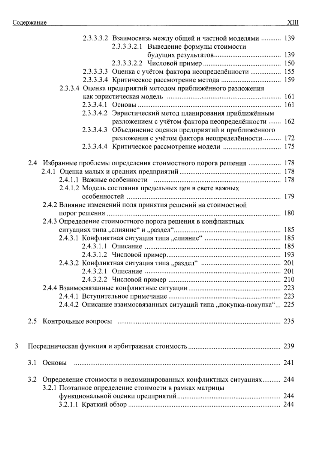$\sqrt{3}$ 

|     | 2.3.3.3.2 Взаимосвязь между общей и частной моделями  139              |  |
|-----|------------------------------------------------------------------------|--|
|     | 2.3.3.3.2.1 Выведение формулы стоимости                                |  |
|     |                                                                        |  |
|     |                                                                        |  |
|     | 2.3.3.3.3 Оценка с учётом фактора неопределённости  155                |  |
|     |                                                                        |  |
|     | 2.3.3.4 Оценка предприятий методом приближённого разложения            |  |
|     |                                                                        |  |
|     |                                                                        |  |
|     | 2.3.3.4.2 Эвристический метод планирования приближённым                |  |
|     | разложением с учётом фактора неопределённости  162                     |  |
|     | 2.3.3.4.3 Объединение оценки предприятий и приближённого               |  |
|     | разложения с учётом фактора неопределённости 172                       |  |
|     |                                                                        |  |
|     |                                                                        |  |
|     | 2.4 Избранные проблемы определения стоимостного порога решения  178    |  |
|     |                                                                        |  |
|     |                                                                        |  |
|     | 2.4.1.2 Модель состояния предельных цен в свете важных                 |  |
|     |                                                                        |  |
|     | 2.4.2 Влияние изменений поля принятия решений на стоимостной           |  |
|     |                                                                        |  |
|     | 2.4.3 Определение стоимостного порога решения в конфликтных            |  |
|     |                                                                        |  |
|     |                                                                        |  |
|     |                                                                        |  |
|     |                                                                        |  |
|     |                                                                        |  |
|     |                                                                        |  |
|     |                                                                        |  |
|     |                                                                        |  |
|     |                                                                        |  |
|     | 2.4.4.2 Описание взаимосвязанных ситуаций типа "покупка-покупка" 225   |  |
|     |                                                                        |  |
|     |                                                                        |  |
|     |                                                                        |  |
|     |                                                                        |  |
|     |                                                                        |  |
|     |                                                                        |  |
| 3.1 | Основы                                                                 |  |
|     |                                                                        |  |
|     | 3.2 Определение стоимости в недоминированных конфликтных ситуациях 244 |  |
|     | 3.2.1 Поэтапное определение стоимости в рамках матрицы                 |  |
|     |                                                                        |  |
|     |                                                                        |  |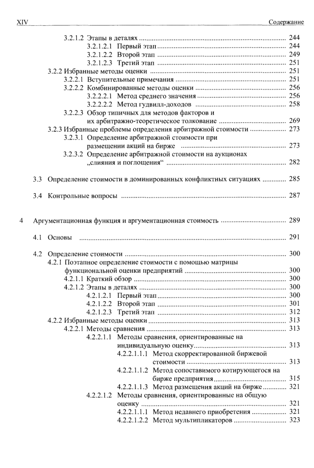|                                                                 |  | 3.2.2.3 Обзор типичных для методов факторов и           |                                                                       |  |
|-----------------------------------------------------------------|--|---------------------------------------------------------|-----------------------------------------------------------------------|--|
|                                                                 |  |                                                         |                                                                       |  |
| 3.2.3 Избранные проблемы определения арбитражной стоимости  273 |  |                                                         |                                                                       |  |
| 3.2.3.1 Определение арбитражной стоимости при                   |  |                                                         |                                                                       |  |
|                                                                 |  |                                                         |                                                                       |  |
|                                                                 |  |                                                         | 3.2.3.2 Определение арбитражной стоимости на аукционах                |  |
|                                                                 |  |                                                         |                                                                       |  |
|                                                                 |  |                                                         |                                                                       |  |
|                                                                 |  |                                                         | 3.3 Определение стоимости в доминированных конфликтных ситуациях  285 |  |
|                                                                 |  |                                                         |                                                                       |  |
|                                                                 |  |                                                         |                                                                       |  |
|                                                                 |  |                                                         |                                                                       |  |
|                                                                 |  |                                                         |                                                                       |  |
| 4                                                               |  |                                                         |                                                                       |  |
|                                                                 |  |                                                         |                                                                       |  |
|                                                                 |  |                                                         |                                                                       |  |
|                                                                 |  |                                                         |                                                                       |  |
|                                                                 |  |                                                         |                                                                       |  |
|                                                                 |  | 4.2.1 Поэтапное определение стоимости с помощью матрицы |                                                                       |  |
|                                                                 |  |                                                         |                                                                       |  |
|                                                                 |  |                                                         |                                                                       |  |
|                                                                 |  |                                                         |                                                                       |  |
|                                                                 |  |                                                         |                                                                       |  |
|                                                                 |  |                                                         |                                                                       |  |
|                                                                 |  |                                                         |                                                                       |  |
|                                                                 |  |                                                         |                                                                       |  |
|                                                                 |  |                                                         |                                                                       |  |
|                                                                 |  |                                                         | 4.2.2.1.1 Методы сравнения, ориентированные на                        |  |
|                                                                 |  |                                                         |                                                                       |  |
|                                                                 |  |                                                         | 4.2.2.1.1.1 Метод скорректированной биржевой                          |  |
|                                                                 |  |                                                         |                                                                       |  |
|                                                                 |  |                                                         | 4.2.2.1.1.2 Метод сопоставимого котирующегося на                      |  |
|                                                                 |  |                                                         |                                                                       |  |
|                                                                 |  |                                                         |                                                                       |  |
|                                                                 |  |                                                         | 4.2.2.1.1.3 Метод размещения акций на бирже  321                      |  |
|                                                                 |  |                                                         | 4.2.2.1.2 Методы сравнения, ориентированные на общую                  |  |
|                                                                 |  |                                                         |                                                                       |  |
|                                                                 |  |                                                         | 4.2.2.1.1.1 Метод недавнего приобретения  321                         |  |
|                                                                 |  |                                                         | 4.2.2.1.2.2 Метод мультипликаторов  323                               |  |